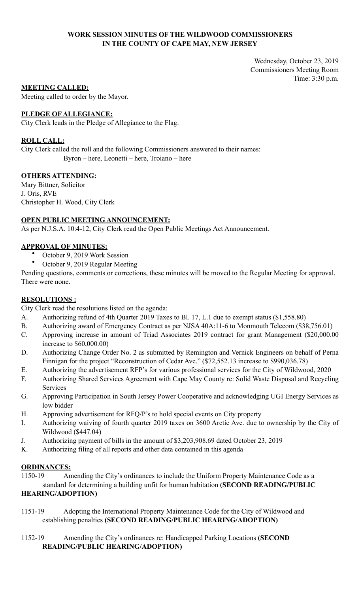## **WORK SESSION MINUTES OF THE WILDWOOD COMMISSIONERS IN THE COUNTY OF CAPE MAY, NEW JERSEY**

Wednesday, October 23, 2019 Commissioners Meeting Room Time: 3:30 p.m.

## **MEETING CALLED:**

Meeting called to order by the Mayor.

## **PLEDGE OF ALLEGIANCE:**

City Clerk leads in the Pledge of Allegiance to the Flag.

## **ROLL CALL:**

City Clerk called the roll and the following Commissioners answered to their names: Byron – here, Leonetti – here, Troiano – here

# **OTHERS ATTENDING:**

Mary Bittner, Solicitor J. Oris, RVE Christopher H. Wood, City Clerk

## **OPEN PUBLIC MEETING ANNOUNCEMENT:**

As per N.J.S.A. 10:4-12, City Clerk read the Open Public Meetings Act Announcement.

## **APPROVAL OF MINUTES:**

- October 9, 2019 Work Session
- October 9, 2019 Regular Meeting

Pending questions, comments or corrections, these minutes will be moved to the Regular Meeting for approval. There were none.

## **RESOLUTIONS :**

City Clerk read the resolutions listed on the agenda:

- A. Authorizing refund of 4th Quarter 2019 Taxes to Bl. 17, L.1 due to exempt status (\$1,558.80)
- B. Authorizing award of Emergency Contract as per NJSA 40A:11-6 to Monmouth Telecom (\$38,756.01)
- C. Approving increase in amount of Triad Associates 2019 contract for grant Management (\$20,000.00 increase to \$60,000.00)
- D. Authorizing Change Order No. 2 as submitted by Remington and Vernick Engineers on behalf of Perna Finnigan for the project "Reconstruction of Cedar Ave." (\$72,552.13 increase to \$990,036.78)
- E. Authorizing the advertisement RFP's for various professional services for the City of Wildwood, 2020
- F. Authorizing Shared Services Agreement with Cape May County re: Solid Waste Disposal and Recycling Services
- G. Approving Participation in South Jersey Power Cooperative and acknowledging UGI Energy Services as low bidder
- H. Approving advertisement for RFQ/P's to hold special events on City property
- I. Authorizing waiving of fourth quarter 2019 taxes on 3600 Arctic Ave. due to ownership by the City of Wildwood (\$447.04)
- J. Authorizing payment of bills in the amount of \$3,203,908.69 dated October 23, 2019
- K. Authorizing filing of all reports and other data contained in this agenda

## **ORDINANCES:**

1150-19 Amending the City's ordinances to include the Uniform Property Maintenance Code as a standard for determining a building unfit for human habitation **(SECOND READING/PUBLIC** 

# **HEARING/ADOPTION)**

- 1151-19 Adopting the International Property Maintenance Code for the City of Wildwood and establishing penalties **(SECOND READING/PUBLIC HEARING/ADOPTION)**
- 1152-19 Amending the City's ordinances re: Handicapped Parking Locations **(SECOND READING/PUBLIC HEARING/ADOPTION)**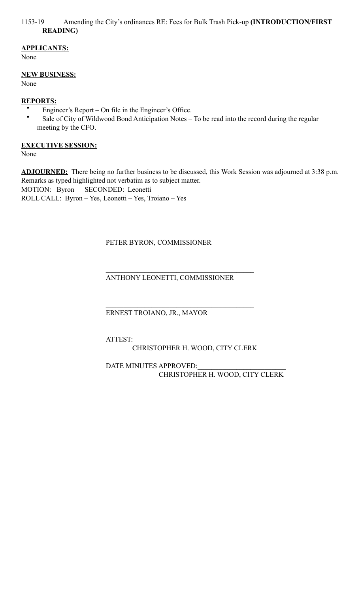## 1153-19 Amending the City's ordinances RE: Fees for Bulk Trash Pick-up **(INTRODUCTION/FIRST READING)**

# **APPLICANTS:**

None

# **NEW BUSINESS:**

None

# **REPORTS:**

- Engineer's Report On file in the Engineer's Office.
- Sale of City of Wildwood Bond Anticipation Notes To be read into the record during the regular meeting by the CFO.

# **EXECUTIVE SESSION:**

None

**ADJOURNED:** There being no further business to be discussed, this Work Session was adjourned at 3:38 p.m. Remarks as typed highlighted not verbatim as to subject matter. MOTION: Byron SECONDED: Leonetti ROLL CALL: Byron – Yes, Leonetti – Yes, Troiano – Yes

PETER BYRON, COMMISSIONER

 $\mathcal{L}_\mathcal{L} = \mathcal{L}_\mathcal{L} = \mathcal{L}_\mathcal{L} = \mathcal{L}_\mathcal{L} = \mathcal{L}_\mathcal{L} = \mathcal{L}_\mathcal{L} = \mathcal{L}_\mathcal{L} = \mathcal{L}_\mathcal{L} = \mathcal{L}_\mathcal{L} = \mathcal{L}_\mathcal{L} = \mathcal{L}_\mathcal{L} = \mathcal{L}_\mathcal{L} = \mathcal{L}_\mathcal{L} = \mathcal{L}_\mathcal{L} = \mathcal{L}_\mathcal{L} = \mathcal{L}_\mathcal{L} = \mathcal{L}_\mathcal{L}$ 

 $\mathcal{L}_\mathcal{L} = \mathcal{L}_\mathcal{L} = \mathcal{L}_\mathcal{L} = \mathcal{L}_\mathcal{L} = \mathcal{L}_\mathcal{L} = \mathcal{L}_\mathcal{L} = \mathcal{L}_\mathcal{L} = \mathcal{L}_\mathcal{L} = \mathcal{L}_\mathcal{L} = \mathcal{L}_\mathcal{L} = \mathcal{L}_\mathcal{L} = \mathcal{L}_\mathcal{L} = \mathcal{L}_\mathcal{L} = \mathcal{L}_\mathcal{L} = \mathcal{L}_\mathcal{L} = \mathcal{L}_\mathcal{L} = \mathcal{L}_\mathcal{L}$ 

 $\mathcal{L}_\mathcal{L} = \mathcal{L}_\mathcal{L} = \mathcal{L}_\mathcal{L} = \mathcal{L}_\mathcal{L} = \mathcal{L}_\mathcal{L} = \mathcal{L}_\mathcal{L} = \mathcal{L}_\mathcal{L} = \mathcal{L}_\mathcal{L} = \mathcal{L}_\mathcal{L} = \mathcal{L}_\mathcal{L} = \mathcal{L}_\mathcal{L} = \mathcal{L}_\mathcal{L} = \mathcal{L}_\mathcal{L} = \mathcal{L}_\mathcal{L} = \mathcal{L}_\mathcal{L} = \mathcal{L}_\mathcal{L} = \mathcal{L}_\mathcal{L}$ 

ANTHONY LEONETTI, COMMISSIONER

ERNEST TROIANO, JR., MAYOR

ATTEST:\_\_\_\_\_\_\_\_\_\_\_\_\_\_\_\_\_\_\_\_\_\_\_\_\_\_\_\_\_\_\_\_\_\_

CHRISTOPHER H. WOOD, CITY CLERK

DATE MINUTES APPROVED: CHRISTOPHER H. WOOD, CITY CLERK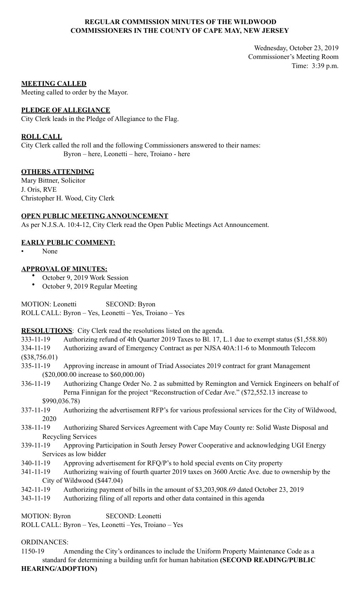## **REGULAR COMMISSION MINUTES OF THE WILDWOOD COMMISSIONERS IN THE COUNTY OF CAPE MAY, NEW JERSEY**

Wednesday, October 23, 2019 Commissioner's Meeting Room Time: 3:39 p.m.

### **MEETING CALLED**

Meeting called to order by the Mayor.

### **PLEDGE OF ALLEGIANCE**

City Clerk leads in the Pledge of Allegiance to the Flag.

### **ROLL CALL**

City Clerk called the roll and the following Commissioners answered to their names: Byron – here, Leonetti – here, Troiano - here

### **OTHERS ATTENDING**

Mary Bittner, Solicitor J. Oris, RVE Christopher H. Wood, City Clerk

# **OPEN PUBLIC MEETING ANNOUNCEMENT**

As per N.J.S.A. 10:4-12, City Clerk read the Open Public Meetings Act Announcement.

### **EARLY PUBLIC COMMENT:**

• None

### **APPROVAL OF MINUTES:**

- October 9, 2019 Work Session
	- October 9, 2019 Regular Meeting

MOTION: Leonetti SECOND: Byron ROLL CALL: Byron – Yes, Leonetti – Yes, Troiano – Yes

**RESOLUTIONS**: City Clerk read the resolutions listed on the agenda.

333-11-19 Authorizing refund of 4th Quarter 2019 Taxes to Bl. 17, L.1 due to exempt status (\$1,558.80)

- 334-11-19 Authorizing award of Emergency Contract as per NJSA 40A:11-6 to Monmouth Telecom
- (\$38,756.01)
- 335-11-19 Approving increase in amount of Triad Associates 2019 contract for grant Management (\$20,000.00 increase to \$60,000.00)
- 336-11-19 Authorizing Change Order No. 2 as submitted by Remington and Vernick Engineers on behalf of Perna Finnigan for the project "Reconstruction of Cedar Ave." (\$72,552.13 increase to \$990,036.78)
- 337-11-19 Authorizing the advertisement RFP's for various professional services for the City of Wildwood, 2020
- 338-11-19 Authorizing Shared Services Agreement with Cape May County re: Solid Waste Disposal and Recycling Services
- 339-11-19 Approving Participation in South Jersey Power Cooperative and acknowledging UGI Energy Services as low bidder
- 340-11-19 Approving advertisement for RFQ/P's to hold special events on City property
- 341-11-19 Authorizing waiving of fourth quarter 2019 taxes on 3600 Arctic Ave. due to ownership by the City of Wildwood (\$447.04)
- 342-11-19 Authorizing payment of bills in the amount of \$3,203,908.69 dated October 23, 2019
- 343-11-19 Authorizing filing of all reports and other data contained in this agenda

MOTION: Byron SECOND: Leonetti ROLL CALL: Byron – Yes, Leonetti –Yes, Troiano – Yes

ORDINANCES:

1150-19 Amending the City's ordinances to include the Uniform Property Maintenance Code as a standard for determining a building unfit for human habitation **(SECOND READING/PUBLIC HEARING/ADOPTION)**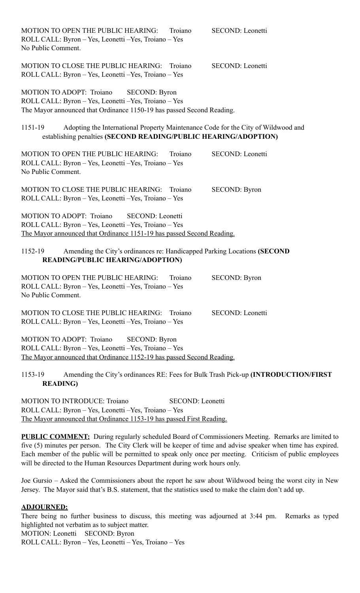| MOTION TO OPEN THE PUBLIC HEARING:<br>Troiano<br>ROLL CALL: Byron - Yes, Leonetti - Yes, Troiano - Yes<br>No Public Comment.                                                           | SECOND: Leonetti        |
|----------------------------------------------------------------------------------------------------------------------------------------------------------------------------------------|-------------------------|
| MOTION TO CLOSE THE PUBLIC HEARING: Troiano<br>ROLL CALL: Byron - Yes, Leonetti - Yes, Troiano - Yes                                                                                   | <b>SECOND: Leonetti</b> |
| MOTION TO ADOPT: Troiano<br><b>SECOND: Byron</b><br>ROLL CALL: Byron - Yes, Leonetti - Yes, Troiano - Yes<br>The Mayor announced that Ordinance 1150-19 has passed Second Reading.     |                         |
| Adopting the International Property Maintenance Code for the City of Wildwood and<br>1151-19<br>establishing penalties (SECOND READING/PUBLIC HEARING/ADOPTION)                        |                         |
| MOTION TO OPEN THE PUBLIC HEARING:<br>Troiano<br>ROLL CALL: Byron - Yes, Leonetti - Yes, Troiano - Yes<br>No Public Comment.                                                           | SECOND: Leonetti        |
| MOTION TO CLOSE THE PUBLIC HEARING: Troiano<br>ROLL CALL: Byron - Yes, Leonetti - Yes, Troiano - Yes                                                                                   | <b>SECOND: Byron</b>    |
| MOTION TO ADOPT: Troiano<br><b>SECOND</b> : Leonetti<br>ROLL CALL: Byron - Yes, Leonetti - Yes, Troiano - Yes<br>The Mayor announced that Ordinance 1151-19 has passed Second Reading. |                         |
| Amending the City's ordinances re: Handicapped Parking Locations (SECOND<br>1152-19<br><b>READING/PUBLIC HEARING/ADOPTION)</b>                                                         |                         |
| MOTION TO OPEN THE PUBLIC HEARING:<br>Troiano<br>ROLL CALL: Byron - Yes, Leonetti - Yes, Troiano - Yes<br>No Public Comment.                                                           | <b>SECOND: Byron</b>    |
| MOTION TO CLOSE THE PUBLIC HEARING:<br>Troiano<br>ROLL CALL: Byron - Yes, Leonetti - Yes, Troiano - Yes                                                                                | <b>SECOND:</b> Leonetti |
| MOTION TO ADOPT: Troiano<br><b>SECOND: Byron</b><br>ROLL CALL: Byron - Yes, Leonetti - Yes, Troiano - Yes<br>The Mayor announced that Ordinance 1152-19 has passed Second Reading.     |                         |

1153-19 Amending the City's ordinances RE: Fees for Bulk Trash Pick-up **(INTRODUCTION/FIRST READING)** 

MOTION TO INTRODUCE: Troiano SECOND: Leonetti ROLL CALL: Byron – Yes, Leonetti –Yes, Troiano – Yes The Mayor announced that Ordinance 1153-19 has passed First Reading.

**PUBLIC COMMENT:** During regularly scheduled Board of Commissioners Meeting. Remarks are limited to five (5) minutes per person. The City Clerk will be keeper of time and advise speaker when time has expired. Each member of the public will be permitted to speak only once per meeting. Criticism of public employees will be directed to the Human Resources Department during work hours only.

Joe Gursio – Asked the Commissioners about the report he saw about Wildwood being the worst city in New Jersey. The Mayor said that's B.S. statement, that the statistics used to make the claim don't add up.

### **ADJOURNED:**

There being no further business to discuss, this meeting was adjourned at 3:44 pm. Remarks as typed highlighted not verbatim as to subject matter. MOTION: Leonetti SECOND: Byron

ROLL CALL: Byron – Yes, Leonetti – Yes, Troiano – Yes